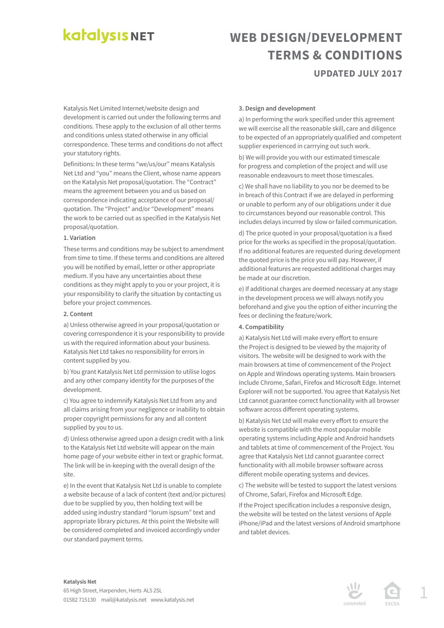# **katalysis NET**

## **WEB DESIGN/DEVELOPMENT TERMS & CONDITIONS UPDATED JULY 2017**

Katalysis Net Limited Internet/website design and development is carried out under the following terms and conditions. These apply to the exclusion of all other terms and conditions unless stated otherwise in any official correspondence. These terms and conditions do not affect your statutory rights.

Definitions: In these terms "we/us/our" means Katalysis Net Ltd and "you" means the Client, whose name appears on the Katalysis Net proposal/quotation. The "Contract" means the agreement between you and us based on correspondence indicating acceptance of our proposal/ quotation. The "Project" and/or "Development" means the work to be carried out as specified in the Katalysis Net proposal/quotation.

### **1. Variation**

These terms and conditions may be subject to amendment from time to time. If these terms and conditions are altered you will be notified by email, letter or other appropriate medium. If you have any uncertainties about these conditions as they might apply to you or your project, it is your responsibility to clarify the situation by contacting us before your project commences.

### **2. Content**

a) Unless otherwise agreed in your proposal/quotation or covering correspondence it is your responsibility to provide us with the required information about your business. Katalysis Net Ltd takes no responsibility for errors in content supplied by you.

b) You grant Katalysis Net Ltd permission to utilise logos and any other company identity for the purposes of the development.

c) You agree to indemnify Katalysis Net Ltd from any and all claims arising from your negligence or inability to obtain proper copyright permissions for any and all content supplied by you to us.

d) Unless otherwise agreed upon a design credit with a link to the Katalysis Net Ltd website will appear on the main home page of your website either in text or graphic format. The link will be in-keeping with the overall design of the site.

e) In the event that Katalysis Net Ltd is unable to complete a website because of a lack of content (text and/or pictures) due to be supplied by you, then holding text will be added using industry standard "lorum ispsum" text and appropriate library pictures. At this point the Website will be considered completed and invoiced accordingly under our standard payment terms.

## **3. Design and development**

a) In performing the work specified under this agreement we will exercise all the reasonable skill, care and diligence to be expected of an appropriately qualified and competent supplier experienced in carrrying out such work.

b) We will provide you with our estimated timescale for progress and completion of the project and will use reasonable endeavours to meet those timescales.

c) We shall have no liability to you nor be deemed to be in breach of this Contract if we are delayed in performing or unable to perform any of our obligations under it due to circumstances beyond our reasonable control. This includes delays incurred by slow or failed communication.

d) The price quoted in your proposal/quotation is a fixed price for the works as specified in the proposal/quotation. If no additional features are requested during development the quoted price is the price you will pay. However, if additional features are requested additional charges may be made at our discretion.

e) If additional charges are deemed necessary at any stage in the development process we will always notify you beforehand and give you the option of either incurring the fees or declining the feature/work.

## **4. Compatibility**

a) Katalysis Net Ltd will make every effort to ensure the Project is designed to be viewed by the majority of visitors. The website will be designed to work with the main browsers at time of commencement of the Project on Apple and Windows operating systems. Main browsers include Chrome, Safari, Firefox and Microsoft Edge. Internet Explorer will not be supported. You agree that Katalysis Net Ltd cannot guarantee correct functionality with all browser software across different operating systems.

b) Katalysis Net Ltd will make every effort to ensure the website is compatible with the most popular mobile operating systems including Apple and Android handsets and tablets at time of commencement of the Project. You agree that Katalysis Net Ltd cannot guarantee correct functionality with all mobile browser software across different mobile operating systems and devices.

c) The website will be tested to support the latest versions of Chrome, Safari, Firefox and Microsoft Edge.

If the Project specification includes a responsive design, the website will be tested on the latest versions of Apple iPhone/iPad and the latest versions of Android smartphone and tablet devices.

#### **Katalysis Net**

65 High Street, Harpenden, Herts AL5 2SL 01582 715130 mail@katalysis.net www.katalysis.net 1